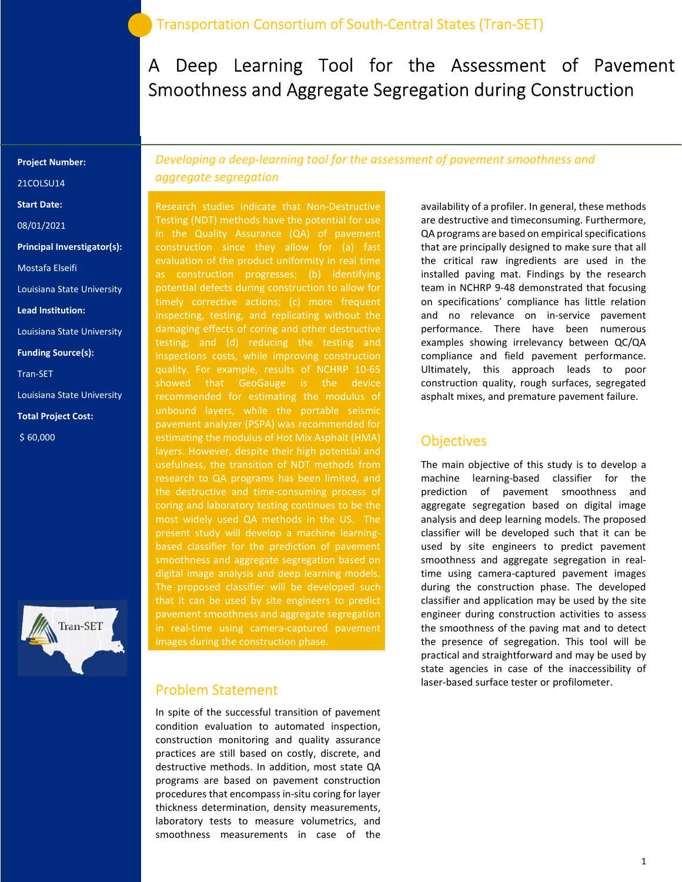# A Deep Learning Tool for the Assessment of Pavement Smoothness and Aggregate Segregation during Construction

#### Project Number:

21COLSU14

- Start Date:
- 08/01/2021
- Principal Inverstigator(s):
- Mostafa Elseifi
- Louisiana State University
- Lead Institution:
- Louisiana State University
- Funding Source(s):
- Tran-SET
- Louisiana State University
- Total Project Cost:
- \$ 60,000



Developing a deep-learning tool for the assessment of pavement smoothness and aggregate segregation

Research studies indicate that Non-Destructive Testing (NDT) methods have the potential for use in the Quality Assurance (QA) of pavement evaluation of the product uniformity in real time as construction progresses; (b) identifying potential defects during construction to allow for inspecting, testing, and replicating without the damaging effects of coring and other destructive testing; and (d) reducing the testing and inspections costs, while improving construction quality. For example, results of NCHRP 10-65 showed that GeoGauge is the device recommended for estimating the modulus of pavement analyzer (PSPA) was recommended for estimating the modulus of Hot Mix Asphalt (HMA) layers. However, despite their high potential and usefulness, the transition of NDT methods from research to QA programs has been limited, and the destructive and time-consuming process of coring and laboratory testing continues to be the most widely used QA methods in the US. The present study will develop a machine learningbased classifier for the prediction of pavement smoothness and aggregate segregation based on digital image analysis and deep learning models. that it can be used by site engineers to predict pavement smoothness and aggregate segregation in real-time using camera-captured pavement images during the construction phase.

#### Problem Statement

In spite of the successful transition of pavement condition evaluation to automated inspection, construction monitoring and quality assurance practices are still based on costly, discrete, and destructive methods. In addition, most state QA programs are based on pavement construction procedures that encompass in-situ coring for layer thickness determination, density measurements, laboratory tests to measure volumetrics, and smoothness measurements in case of the

availability of a profiler. In general, these methods are destructive and timeconsuming. Furthermore, QA programs are based on empirical specifications that are principally designed to make sure that all the critical raw ingredients are used in the installed paving mat. Findings by the research team in NCHRP 9-48 demonstrated that focusing on specifications' compliance has little relation and no relevance on in-service pavement performance. There have been numerous examples showing irrelevancy between QC/QA compliance and field pavement performance. Ultimately, this approach leads to poor construction quality, rough surfaces, segregated asphalt mixes, and premature pavement failure.

#### **Objectives**

The main objective of this study is to develop a machine learning-based classifier for the prediction of pavement smoothness and aggregate segregation based on digital image analysis and deep learning models. The proposed classifier will be developed such that it can be used by site engineers to predict pavement smoothness and aggregate segregation in realtime using camera-captured pavement images during the construction phase. The developed classifier and application may be used by the site engineer during construction activities to assess the smoothness of the paving mat and to detect the presence of segregation. This tool will be practical and straightforward and may be used by state agencies in case of the inaccessibility of laser-based surface tester or profilometer.